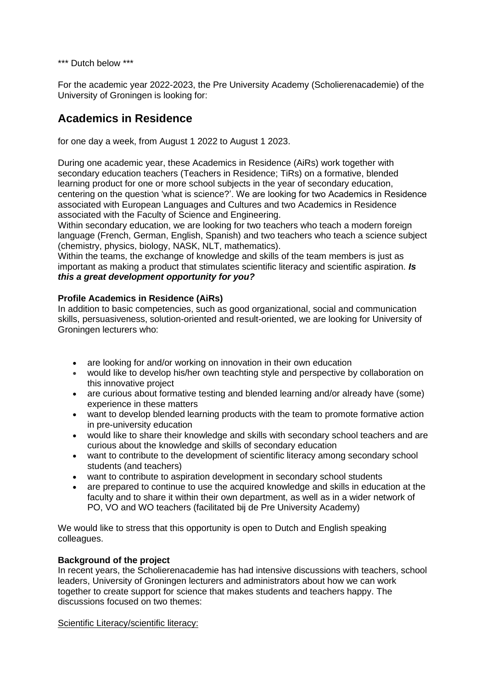\*\*\* Dutch below \*\*\*

For the academic year 2022-2023, the Pre University Academy (Scholierenacademie) of the University of Groningen is looking for:

# **Academics in Residence**

for one day a week, from August 1 2022 to August 1 2023.

During one academic year, these Academics in Residence (AiRs) work together with secondary education teachers (Teachers in Residence; TiRs) on a formative, blended learning product for one or more school subjects in the year of secondary education, centering on the question 'what is science?'. We are looking for two Academics in Residence associated with European Languages and Cultures and two Academics in Residence associated with the Faculty of Science and Engineering.

Within secondary education, we are looking for two teachers who teach a modern foreign language (French, German, English, Spanish) and two teachers who teach a science subject (chemistry, physics, biology, NASK, NLT, mathematics).

Within the teams, the exchange of knowledge and skills of the team members is just as important as making a product that stimulates scientific literacy and scientific aspiration. *Is this a great development opportunity for you?*

# **Profile Academics in Residence (AiRs)**

In addition to basic competencies, such as good organizational, social and communication skills, persuasiveness, solution-oriented and result-oriented, we are looking for University of Groningen lecturers who:

- are looking for and/or working on innovation in their own education
- would like to develop his/her own teachting style and perspective by collaboration on this innovative project
- are curious about formative testing and blended learning and/or already have (some) experience in these matters
- want to develop blended learning products with the team to promote formative action in pre-university education
- would like to share their knowledge and skills with secondary school teachers and are curious about the knowledge and skills of secondary education
- want to contribute to the development of scientific literacy among secondary school students (and teachers)
- want to contribute to aspiration development in secondary school students
- are prepared to continue to use the acquired knowledge and skills in education at the faculty and to share it within their own department, as well as in a wider network of PO, VO and WO teachers (facilitated bij de Pre University Academy)

We would like to stress that this opportunity is open to Dutch and English speaking colleagues.

# **Background of the project**

In recent years, the Scholierenacademie has had intensive discussions with teachers, school leaders, University of Groningen lecturers and administrators about how we can work together to create support for science that makes students and teachers happy. The discussions focused on two themes:

Scientific Literacy/scientific literacy: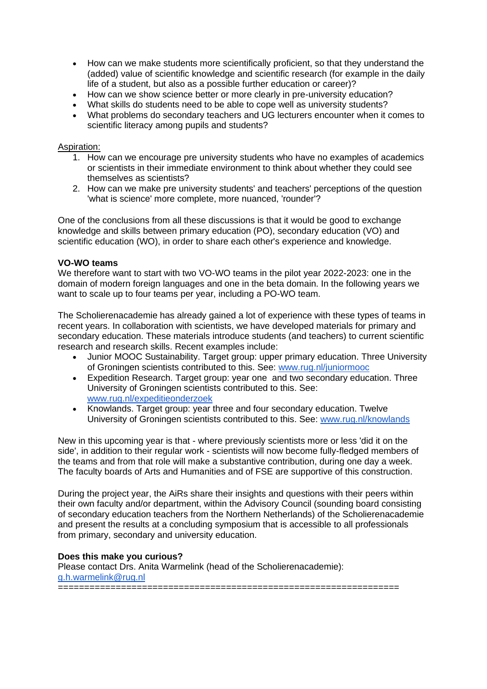- How can we make students more scientifically proficient, so that they understand the (added) value of scientific knowledge and scientific research (for example in the daily life of a student, but also as a possible further education or career)?
- How can we show science better or more clearly in pre-university education?
- What skills do students need to be able to cope well as university students?
- What problems do secondary teachers and UG lecturers encounter when it comes to scientific literacy among pupils and students?

### Aspiration:

- 1. How can we encourage pre university students who have no examples of academics or scientists in their immediate environment to think about whether they could see themselves as scientists?
- 2. How can we make pre university students' and teachers' perceptions of the question 'what is science' more complete, more nuanced, 'rounder'?

One of the conclusions from all these discussions is that it would be good to exchange knowledge and skills between primary education (PO), secondary education (VO) and scientific education (WO), in order to share each other's experience and knowledge.

#### **VO-WO teams**

We therefore want to start with two VO-WO teams in the pilot year 2022-2023; one in the domain of modern foreign languages and one in the beta domain. In the following years we want to scale up to four teams per year, including a PO-WO team.

The Scholierenacademie has already gained a lot of experience with these types of teams in recent years. In collaboration with scientists, we have developed materials for primary and secondary education. These materials introduce students (and teachers) to current scientific research and research skills. Recent examples include:

- Junior MOOC Sustainability. Target group: upper primary education. Three University of Groningen scientists contributed to this. See: [www.rug.nl/juniormooc](http://www.rug.nl/juniormooc)
- Expedition Research. Target group: year one and two secondary education. Three University of Groningen scientists contributed to this. See: [www.rug.nl/expeditieonderzoek](http://www.rug.nl/expeditieonderzoek)
- Knowlands. Target group: year three and four secondary education. Twelve University of Groningen scientists contributed to this. See: [www.rug.nl/knowlands](http://www.rug.nl/knowlands)

New in this upcoming year is that - where previously scientists more or less 'did it on the side', in addition to their regular work - scientists will now become fully-fledged members of the teams and from that role will make a substantive contribution, during one day a week. The faculty boards of Arts and Humanities and of FSE are supportive of this construction.

During the project year, the AiRs share their insights and questions with their peers within their own faculty and/or department, within the Advisory Council (sounding board consisting of secondary education teachers from the Northern Netherlands) of the Scholierenacademie and present the results at a concluding symposium that is accessible to all professionals from primary, secondary and university education.

# **Does this make you curious?**

Please contact Drs. Anita Warmelink (head of the Scholierenacademie): [g.h.warmelink@rug.nl](mailto:g.h.warmelink@rug.nl) =================================================================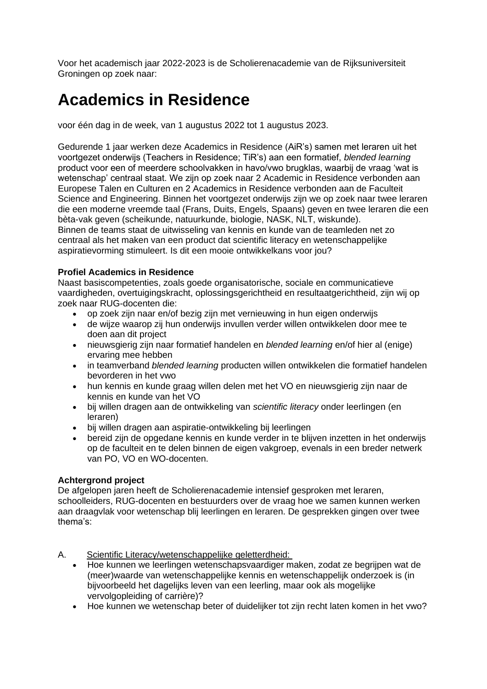Voor het academisch jaar 2022-2023 is de Scholierenacademie van de Rijksuniversiteit Groningen op zoek naar:

# **Academics in Residence**

voor één dag in de week, van 1 augustus 2022 tot 1 augustus 2023.

Gedurende 1 jaar werken deze Academics in Residence (AiR's) samen met leraren uit het voortgezet onderwijs (Teachers in Residence; TiR's) aan een formatief, *blended learning* product voor een of meerdere schoolvakken in havo/vwo brugklas, waarbij de vraag 'wat is wetenschap' centraal staat. We zijn op zoek naar 2 Academic in Residence verbonden aan Europese Talen en Culturen en 2 Academics in Residence verbonden aan de Faculteit Science and Engineering. Binnen het voortgezet onderwijs zijn we op zoek naar twee leraren die een moderne vreemde taal (Frans, Duits, Engels, Spaans) geven en twee leraren die een bèta-vak geven (scheikunde, natuurkunde, biologie, NASK, NLT, wiskunde). Binnen de teams staat de uitwisseling van kennis en kunde van de teamleden net zo centraal als het maken van een product dat scientific literacy en wetenschappelijke aspiratievorming stimuleert. Is dit een mooie ontwikkelkans voor jou?

# **Profiel Academics in Residence**

Naast basiscompetenties, zoals goede organisatorische, sociale en communicatieve vaardigheden, overtuigingskracht, oplossingsgerichtheid en resultaatgerichtheid, zijn wij op zoek naar RUG-docenten die:

- op zoek zijn naar en/of bezig zijn met vernieuwing in hun eigen onderwijs
- de wijze waarop zij hun onderwijs invullen verder willen ontwikkelen door mee te doen aan dit project
- nieuwsgierig zijn naar formatief handelen en *blended learning* en/of hier al (enige) ervaring mee hebben
- in teamverband *blended learning* producten willen ontwikkelen die formatief handelen bevorderen in het vwo
- hun kennis en kunde graag willen delen met het VO en nieuwsgierig zijn naar de kennis en kunde van het VO
- bij willen dragen aan de ontwikkeling van *scientific literacy* onder leerlingen (en leraren)
- bij willen dragen aan aspiratie-ontwikkeling bij leerlingen
- bereid zijn de opgedane kennis en kunde verder in te blijven inzetten in het onderwijs op de faculteit en te delen binnen de eigen vakgroep, evenals in een breder netwerk van PO, VO en WO-docenten.

# **Achtergrond project**

De afgelopen jaren heeft de Scholierenacademie intensief gesproken met leraren, schoolleiders, RUG-docenten en bestuurders over de vraag hoe we samen kunnen werken aan draagvlak voor wetenschap blij leerlingen en leraren. De gesprekken gingen over twee thema's:

- A. Scientific Literacy/wetenschappelijke geletterdheid:
	- Hoe kunnen we leerlingen wetenschapsvaardiger maken, zodat ze begrijpen wat de (meer)waarde van wetenschappelijke kennis en wetenschappelijk onderzoek is (in bijvoorbeeld het dagelijks leven van een leerling, maar ook als mogelijke vervolgopleiding of carrière)?
	- Hoe kunnen we wetenschap beter of duidelijker tot zijn recht laten komen in het vwo?